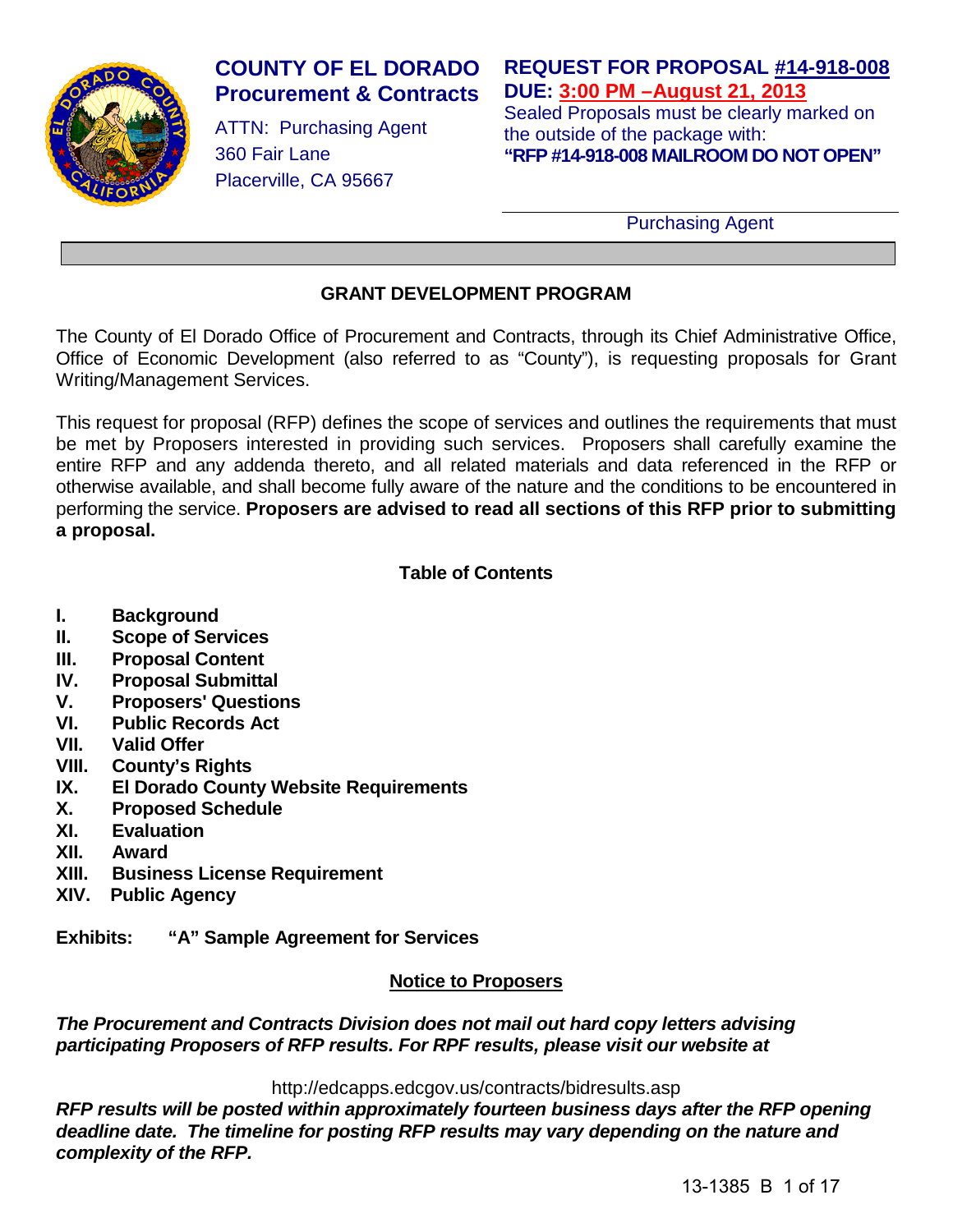

# **COUNTY OF EL DORADO Procurement & Contracts**

ATTN: Purchasing Agent 360 Fair Lane Placerville, CA 95667

# **REQUEST FOR PROPOSAL #14-918-008 DUE: 3:00 PM –August 21, 2013**

Sealed Proposals must be clearly marked on the outside of the package with: **"RFP #14-918-008 MAILROOM DO NOT OPEN"**

Purchasing Agent

# **GRANT DEVELOPMENT PROGRAM**

The County of El Dorado Office of Procurement and Contracts, through its Chief Administrative Office, Office of Economic Development (also referred to as "County"), is requesting proposals for Grant Writing/Management Services.

This request for proposal (RFP) defines the scope of services and outlines the requirements that must be met by Proposers interested in providing such services. Proposers shall carefully examine the entire RFP and any addenda thereto, and all related materials and data referenced in the RFP or otherwise available, and shall become fully aware of the nature and the conditions to be encountered in performing the service. **Proposers are advised to read all sections of this RFP prior to submitting a proposal.**

# **Table of Contents**

- **I. Background**
- **II. Scope of Services**
- **III. Proposal Content**
- **IV. Proposal Submittal**
- **V. Proposers' Questions**
- **VI. Public Records Act**
- **VII. Valid Offer**
- **VIII. County's Rights**
- **IX. El Dorado County Website Requirements**
- **X. Proposed Schedule**
- **Evaluation**
- **XII. Award**
- **Business License Requirement**
- **XIV. Public Agency**

**Exhibits: "A" Sample Agreement for Services**

# **Notice to Proposers**

*The Procurement and Contracts Division does not mail out hard copy letters advising participating Proposers of RFP results. For RPF results, please visit our website at*

http://edcapps.edcgov.us/contracts/bidresults.asp

*RFP results will be posted within approximately fourteen business days after the RFP opening deadline date. The timeline for posting RFP results may vary depending on the nature and complexity of the RFP.*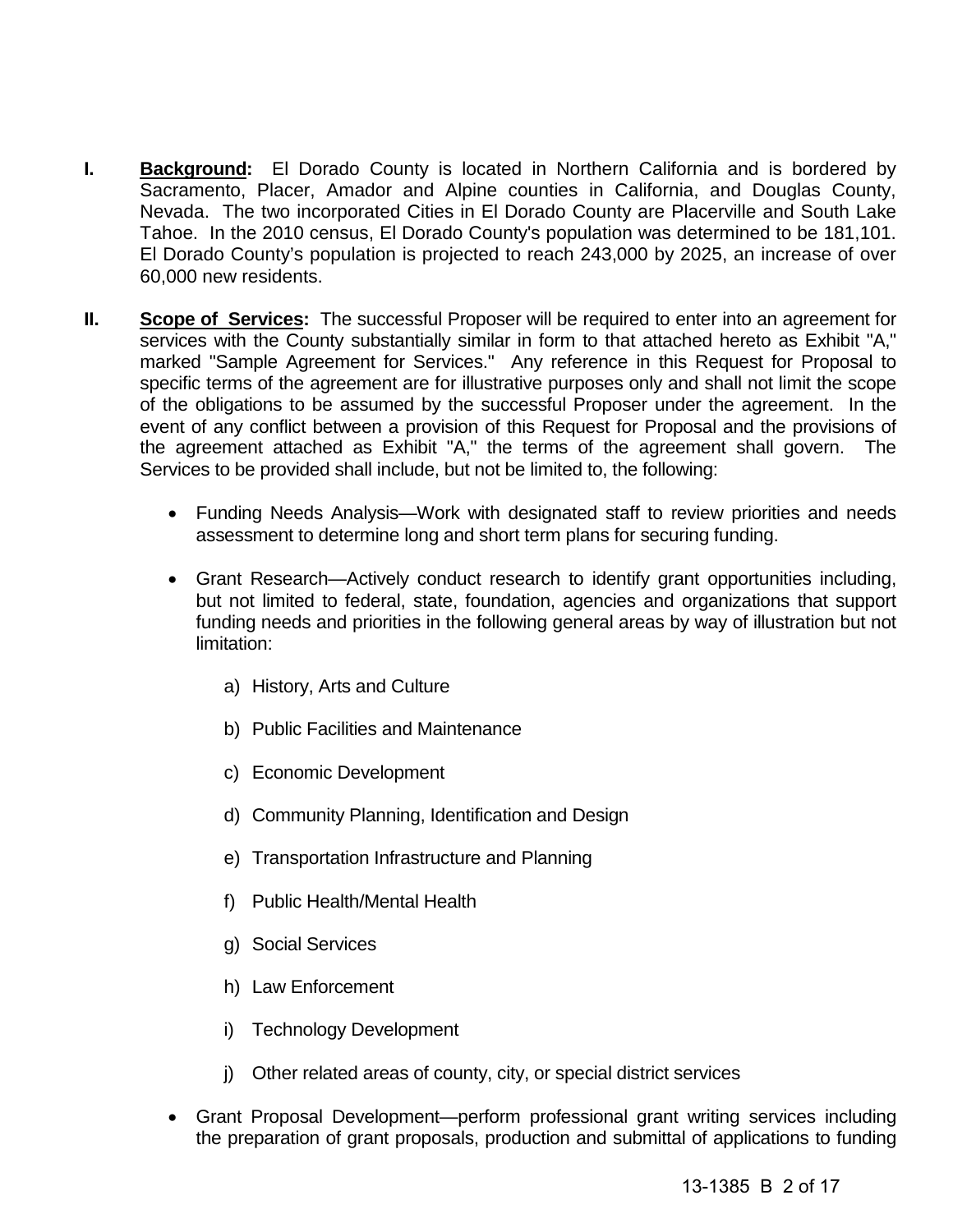- **I. Background:** El Dorado County is located in Northern California and is bordered by Sacramento, Placer, Amador and Alpine counties in California, and Douglas County, Nevada. The two incorporated Cities in El Dorado County are Placerville and South Lake Tahoe. In the 2010 census, El Dorado County's population was determined to be 181,101. El Dorado County's population is projected to reach 243,000 by 2025, an increase of over 60,000 new residents.
- **II. Scope of Services:** The successful Proposer will be required to enter into an agreement for services with the County substantially similar in form to that attached hereto as Exhibit "A," marked "Sample Agreement for Services." Any reference in this Request for Proposal to specific terms of the agreement are for illustrative purposes only and shall not limit the scope of the obligations to be assumed by the successful Proposer under the agreement. In the event of any conflict between a provision of this Request for Proposal and the provisions of the agreement attached as Exhibit "A," the terms of the agreement shall govern. The Services to be provided shall include, but not be limited to, the following:
	- Funding Needs Analysis—Work with designated staff to review priorities and needs assessment to determine long and short term plans for securing funding.
	- Grant Research—Actively conduct research to identify grant opportunities including, but not limited to federal, state, foundation, agencies and organizations that support funding needs and priorities in the following general areas by way of illustration but not limitation:
		- a) History, Arts and Culture
		- b) Public Facilities and Maintenance
		- c) Economic Development
		- d) Community Planning, Identification and Design
		- e) Transportation Infrastructure and Planning
		- f) Public Health/Mental Health
		- g) Social Services
		- h) Law Enforcement
		- i) Technology Development
		- j) Other related areas of county, city, or special district services
	- Grant Proposal Development—perform professional grant writing services including the preparation of grant proposals, production and submittal of applications to funding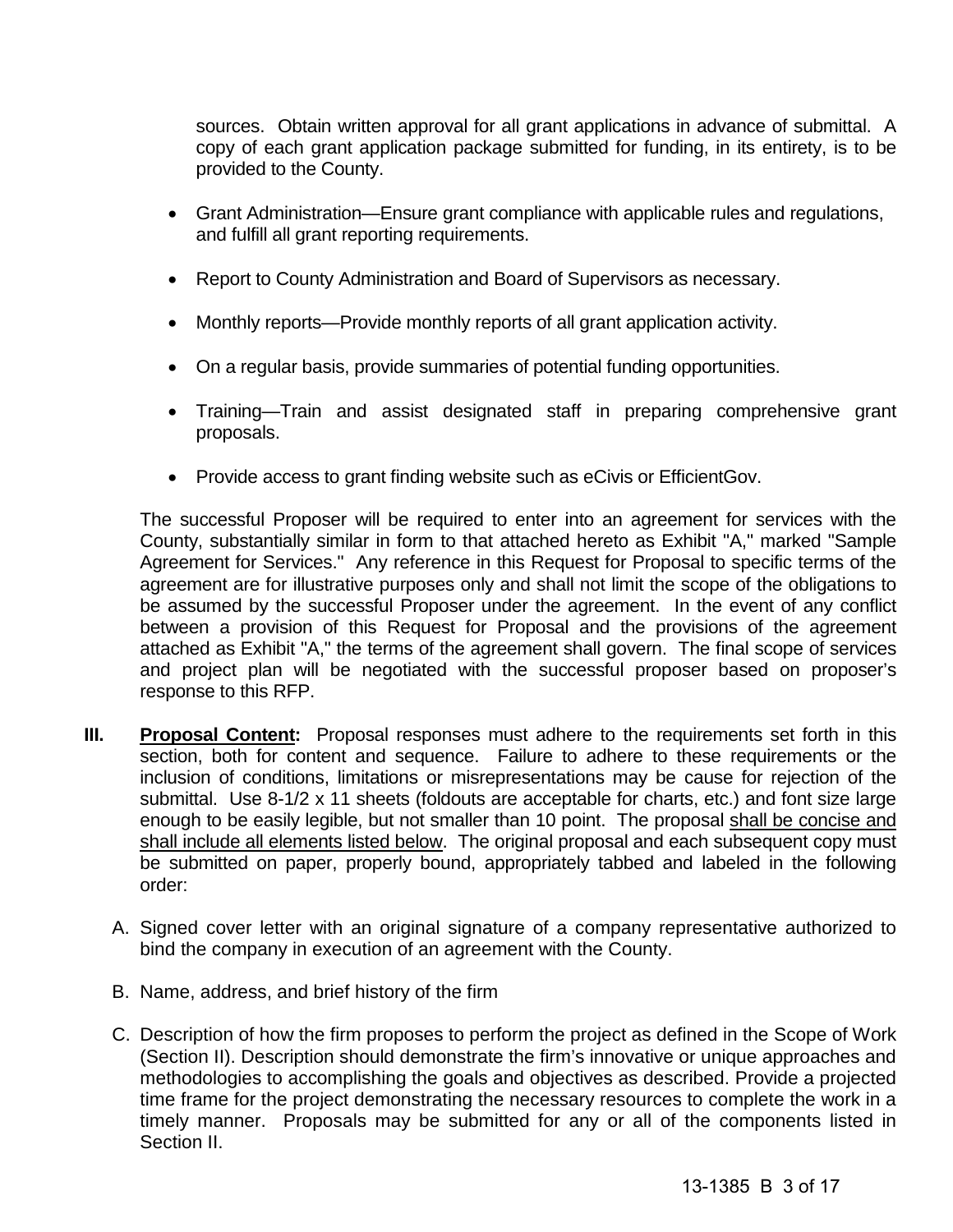sources. Obtain written approval for all grant applications in advance of submittal. A copy of each grant application package submitted for funding, in its entirety, is to be provided to the County.

- Grant Administration—Ensure grant compliance with applicable rules and regulations, and fulfill all grant reporting requirements.
- Report to County Administration and Board of Supervisors as necessary.
- Monthly reports—Provide monthly reports of all grant application activity.
- On a regular basis, provide summaries of potential funding opportunities.
- Training—Train and assist designated staff in preparing comprehensive grant proposals.
- Provide access to grant finding website such as eCivis or EfficientGov.

The successful Proposer will be required to enter into an agreement for services with the County, substantially similar in form to that attached hereto as Exhibit "A," marked "Sample Agreement for Services." Any reference in this Request for Proposal to specific terms of the agreement are for illustrative purposes only and shall not limit the scope of the obligations to be assumed by the successful Proposer under the agreement. In the event of any conflict between a provision of this Request for Proposal and the provisions of the agreement attached as Exhibit "A," the terms of the agreement shall govern. The final scope of services and project plan will be negotiated with the successful proposer based on proposer's response to this RFP.

- **III.** Proposal Content: Proposal responses must adhere to the requirements set forth in this section, both for content and sequence. Failure to adhere to these requirements or the inclusion of conditions, limitations or misrepresentations may be cause for rejection of the submittal. Use 8-1/2 x 11 sheets (foldouts are acceptable for charts, etc.) and font size large enough to be easily legible, but not smaller than 10 point. The proposal shall be concise and shall include all elements listed below. The original proposal and each subsequent copy must be submitted on paper, properly bound, appropriately tabbed and labeled in the following order:
	- A. Signed cover letter with an original signature of a company representative authorized to bind the company in execution of an agreement with the County.
	- B. Name, address, and brief history of the firm
	- C. Description of how the firm proposes to perform the project as defined in the Scope of Work (Section II). Description should demonstrate the firm's innovative or unique approaches and methodologies to accomplishing the goals and objectives as described. Provide a projected time frame for the project demonstrating the necessary resources to complete the work in a timely manner. Proposals may be submitted for any or all of the components listed in Section II.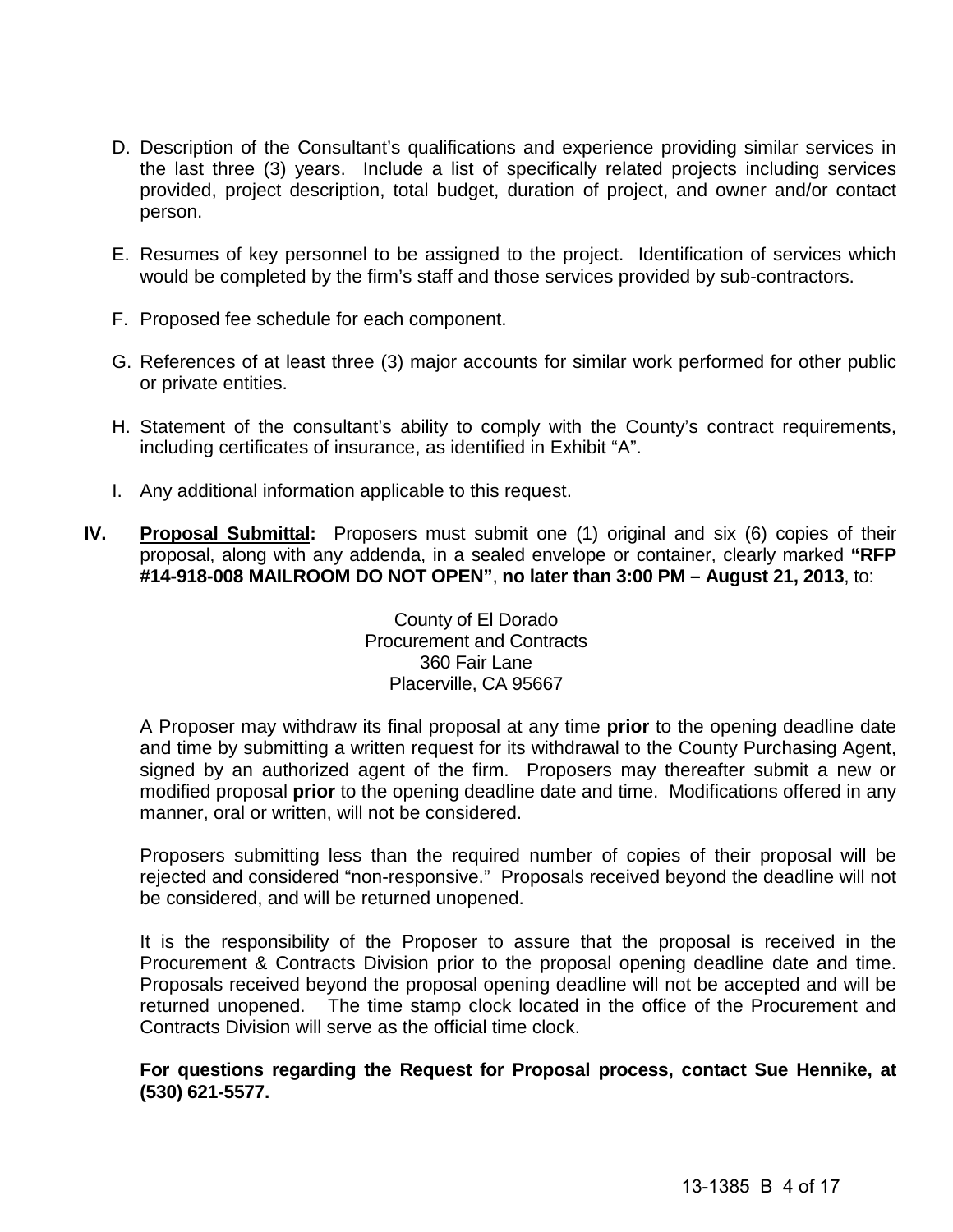- D. Description of the Consultant's qualifications and experience providing similar services in the last three (3) years. Include a list of specifically related projects including services provided, project description, total budget, duration of project, and owner and/or contact person.
- E. Resumes of key personnel to be assigned to the project. Identification of services which would be completed by the firm's staff and those services provided by sub-contractors.
- F. Proposed fee schedule for each component.
- G. References of at least three (3) major accounts for similar work performed for other public or private entities.
- H. Statement of the consultant's ability to comply with the County's contract requirements, including certificates of insurance, as identified in Exhibit "A".
- I. Any additional information applicable to this request.
- **IV. Proposal Submittal:** Proposers must submit one (1) original and six (6) copies of their proposal, along with any addenda, in a sealed envelope or container, clearly marked **"RFP #14-918-008 MAILROOM DO NOT OPEN"**, **no later than 3:00 PM – August 21, 2013**, to:

County of El Dorado Procurement and Contracts 360 Fair Lane Placerville, CA 95667

A Proposer may withdraw its final proposal at any time **prior** to the opening deadline date and time by submitting a written request for its withdrawal to the County Purchasing Agent, signed by an authorized agent of the firm. Proposers may thereafter submit a new or modified proposal **prior** to the opening deadline date and time. Modifications offered in any manner, oral or written, will not be considered.

Proposers submitting less than the required number of copies of their proposal will be rejected and considered "non-responsive." Proposals received beyond the deadline will not be considered, and will be returned unopened.

It is the responsibility of the Proposer to assure that the proposal is received in the Procurement & Contracts Division prior to the proposal opening deadline date and time. Proposals received beyond the proposal opening deadline will not be accepted and will be returned unopened. The time stamp clock located in the office of the Procurement and Contracts Division will serve as the official time clock.

# **For questions regarding the Request for Proposal process, contact Sue Hennike, at (530) 621-5577.**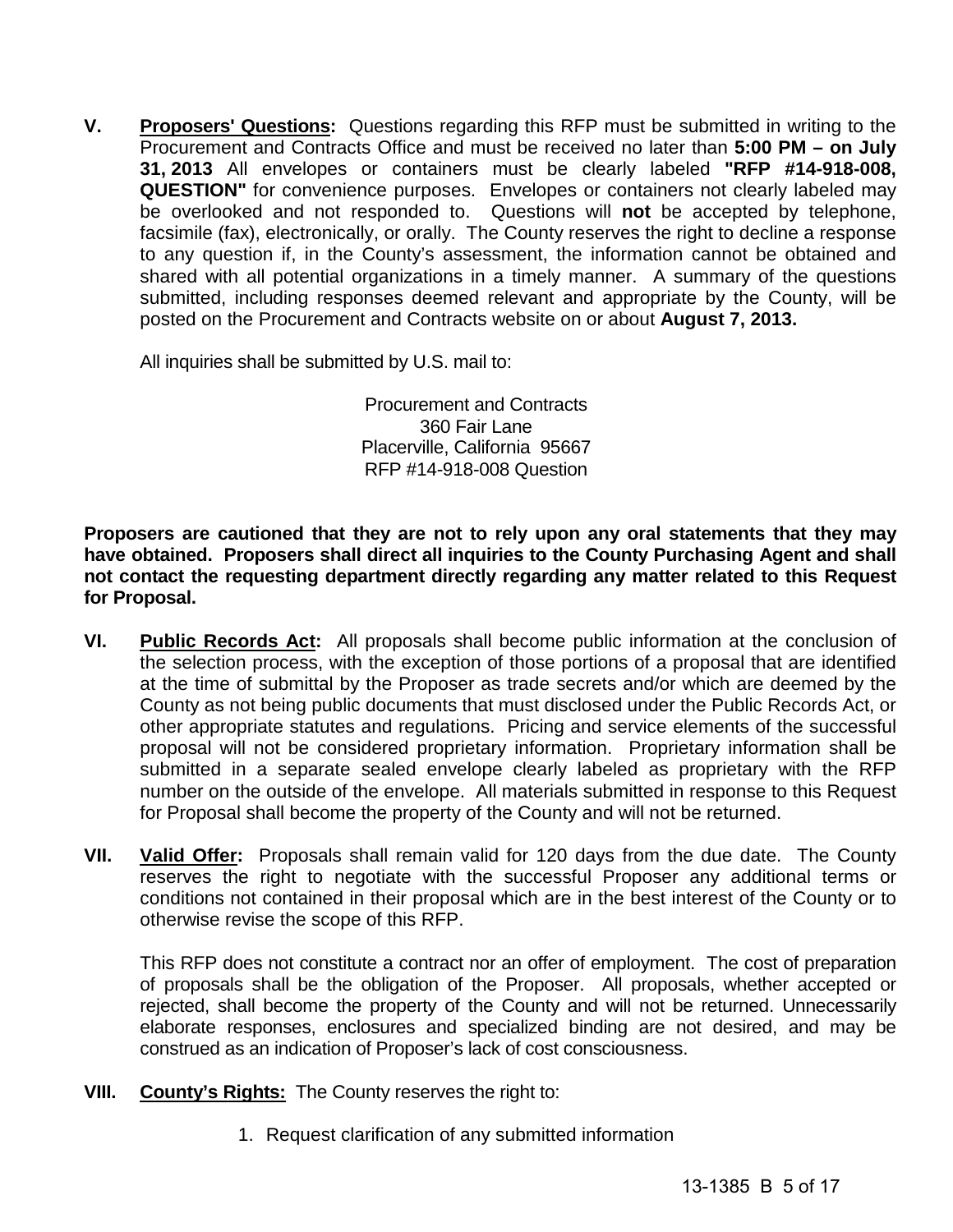**V. Proposers' Questions:** Questions regarding this RFP must be submitted in writing to the Procurement and Contracts Office and must be received no later than **5:00 PM – on July 31, 2013** All envelopes or containers must be clearly labeled **"RFP #14-918-008, QUESTION"** for convenience purposes. Envelopes or containers not clearly labeled may be overlooked and not responded to. Questions will **not** be accepted by telephone, facsimile (fax), electronically, or orally. The County reserves the right to decline a response to any question if, in the County's assessment, the information cannot be obtained and shared with all potential organizations in a timely manner. A summary of the questions submitted, including responses deemed relevant and appropriate by the County, will be posted on the Procurement and Contracts website on or about **August 7, 2013.**

All inquiries shall be submitted by U.S. mail to:

Procurement and Contracts 360 Fair Lane Placerville, California 95667 RFP #14-918-008 Question

**Proposers are cautioned that they are not to rely upon any oral statements that they may have obtained. Proposers shall direct all inquiries to the County Purchasing Agent and shall not contact the requesting department directly regarding any matter related to this Request for Proposal.**

- **VI. Public Records Act:** All proposals shall become public information at the conclusion of the selection process, with the exception of those portions of a proposal that are identified at the time of submittal by the Proposer as trade secrets and/or which are deemed by the County as not being public documents that must disclosed under the Public Records Act, or other appropriate statutes and regulations. Pricing and service elements of the successful proposal will not be considered proprietary information. Proprietary information shall be submitted in a separate sealed envelope clearly labeled as proprietary with the RFP number on the outside of the envelope. All materials submitted in response to this Request for Proposal shall become the property of the County and will not be returned.
- **VII. Valid Offer:** Proposals shall remain valid for 120 days from the due date. The County reserves the right to negotiate with the successful Proposer any additional terms or conditions not contained in their proposal which are in the best interest of the County or to otherwise revise the scope of this RFP.

This RFP does not constitute a contract nor an offer of employment. The cost of preparation of proposals shall be the obligation of the Proposer. All proposals, whether accepted or rejected, shall become the property of the County and will not be returned. Unnecessarily elaborate responses, enclosures and specialized binding are not desired, and may be construed as an indication of Proposer's lack of cost consciousness.

- **VIII. County's Rights:** The County reserves the right to:
	- 1. Request clarification of any submitted information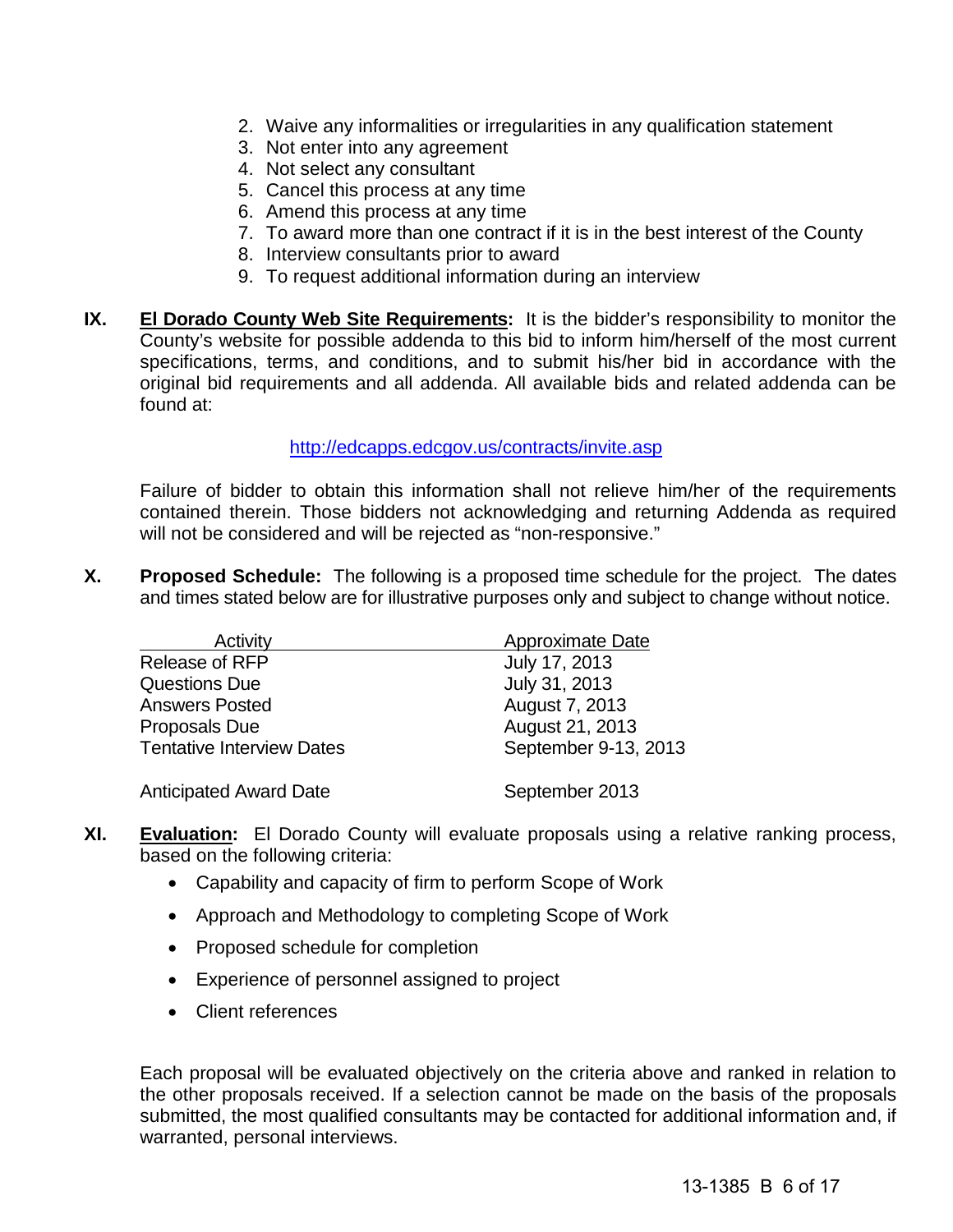- 2. Waive any informalities or irregularities in any qualification statement
- 3. Not enter into any agreement
- 4. Not select any consultant
- 5. Cancel this process at any time
- 6. Amend this process at any time
- 7. To award more than one contract if it is in the best interest of the County
- 8. Interview consultants prior to award
- 9. To request additional information during an interview
- **IX. El Dorado County Web Site Requirements:** It is the bidder's responsibility to monitor the County's website for possible addenda to this bid to inform him/herself of the most current specifications, terms, and conditions, and to submit his/her bid in accordance with the original bid requirements and all addenda. All available bids and related addenda can be found at:

## <http://edcapps.edcgov.us/contracts/invite.asp>

Failure of bidder to obtain this information shall not relieve him/her of the requirements contained therein. Those bidders not acknowledging and returning Addenda as required will not be considered and will be rejected as "non-responsive."

**X. Proposed Schedule:** The following is a proposed time schedule for the project. The dates and times stated below are for illustrative purposes only and subject to change without notice.

| Activity                         | Approximate Date     |
|----------------------------------|----------------------|
| Release of RFP                   | July 17, 2013        |
| <b>Questions Due</b>             | July 31, 2013        |
| <b>Answers Posted</b>            | August 7, 2013       |
| Proposals Due                    | August 21, 2013      |
| <b>Tentative Interview Dates</b> | September 9-13, 2013 |
| <b>Anticipated Award Date</b>    | September 2013       |

- **XI. Evaluation:** El Dorado County will evaluate proposals using a relative ranking process, based on the following criteria:
	- Capability and capacity of firm to perform Scope of Work
	- Approach and Methodology to completing Scope of Work
	- Proposed schedule for completion
	- Experience of personnel assigned to project
	- Client references

Each proposal will be evaluated objectively on the criteria above and ranked in relation to the other proposals received. If a selection cannot be made on the basis of the proposals submitted, the most qualified consultants may be contacted for additional information and, if warranted, personal interviews.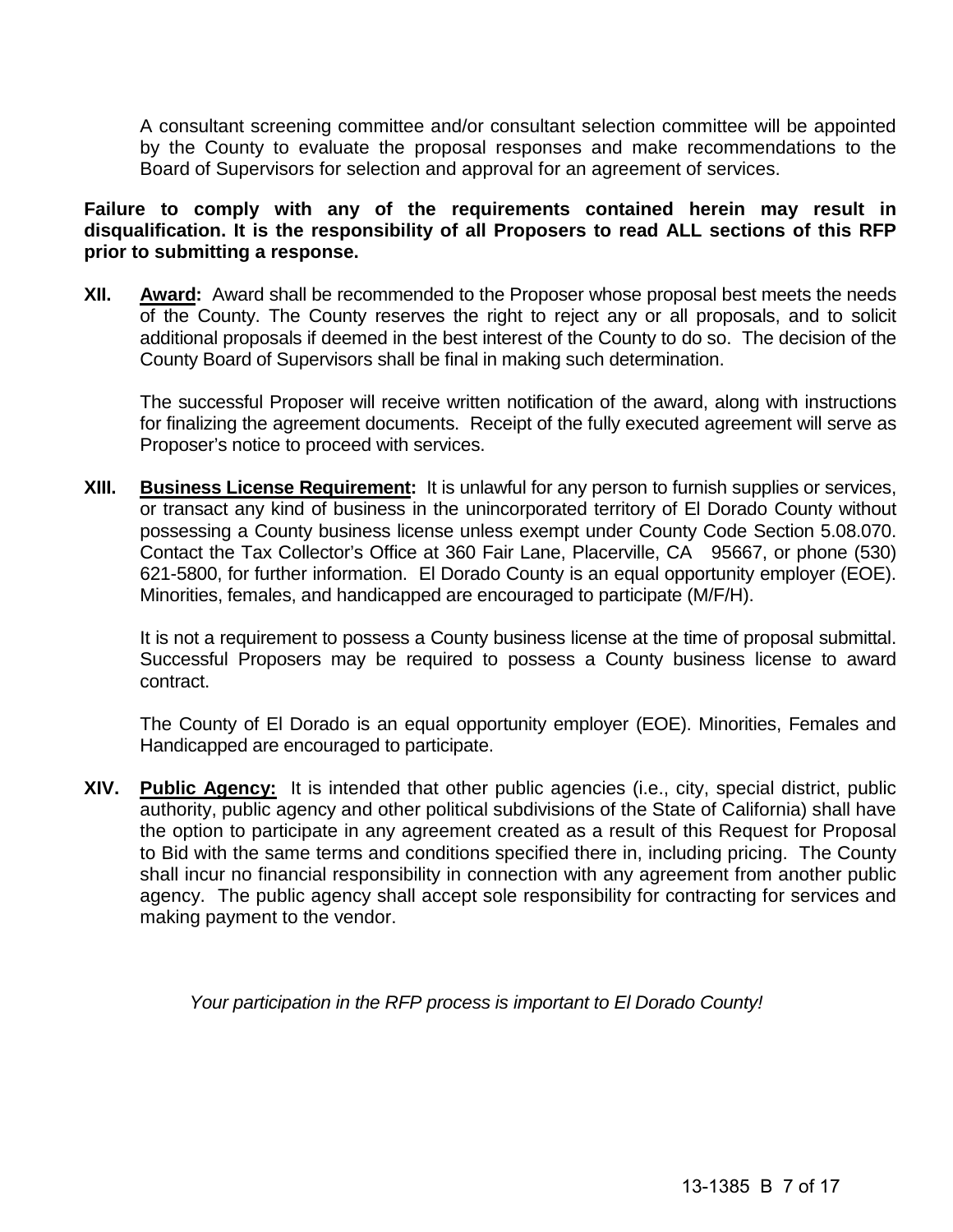A consultant screening committee and/or consultant selection committee will be appointed by the County to evaluate the proposal responses and make recommendations to the Board of Supervisors for selection and approval for an agreement of services.

**Failure to comply with any of the requirements contained herein may result in disqualification. It is the responsibility of all Proposers to read ALL sections of this RFP prior to submitting a response.**

**XII. Award:** Award shall be recommended to the Proposer whose proposal best meets the needs of the County. The County reserves the right to reject any or all proposals, and to solicit additional proposals if deemed in the best interest of the County to do so. The decision of the County Board of Supervisors shall be final in making such determination.

The successful Proposer will receive written notification of the award, along with instructions for finalizing the agreement documents. Receipt of the fully executed agreement will serve as Proposer's notice to proceed with services.

**XIII. Business License Requirement:** It is unlawful for any person to furnish supplies or services, or transact any kind of business in the unincorporated territory of El Dorado County without possessing a County business license unless exempt under County Code Section 5.08.070. Contact the Tax Collector's Office at 360 Fair Lane, Placerville, CA 95667, or phone (530) 621-5800, for further information. El Dorado County is an equal opportunity employer (EOE). Minorities, females, and handicapped are encouraged to participate (M/F/H).

It is not a requirement to possess a County business license at the time of proposal submittal. Successful Proposers may be required to possess a County business license to award contract.

The County of El Dorado is an equal opportunity employer (EOE). Minorities, Females and Handicapped are encouraged to participate.

**XIV. Public Agency:** It is intended that other public agencies (i.e., city, special district, public authority, public agency and other political subdivisions of the State of California) shall have the option to participate in any agreement created as a result of this Request for Proposal to Bid with the same terms and conditions specified there in, including pricing. The County shall incur no financial responsibility in connection with any agreement from another public agency. The public agency shall accept sole responsibility for contracting for services and making payment to the vendor.

*Your participation in the RFP process is important to El Dorado County!*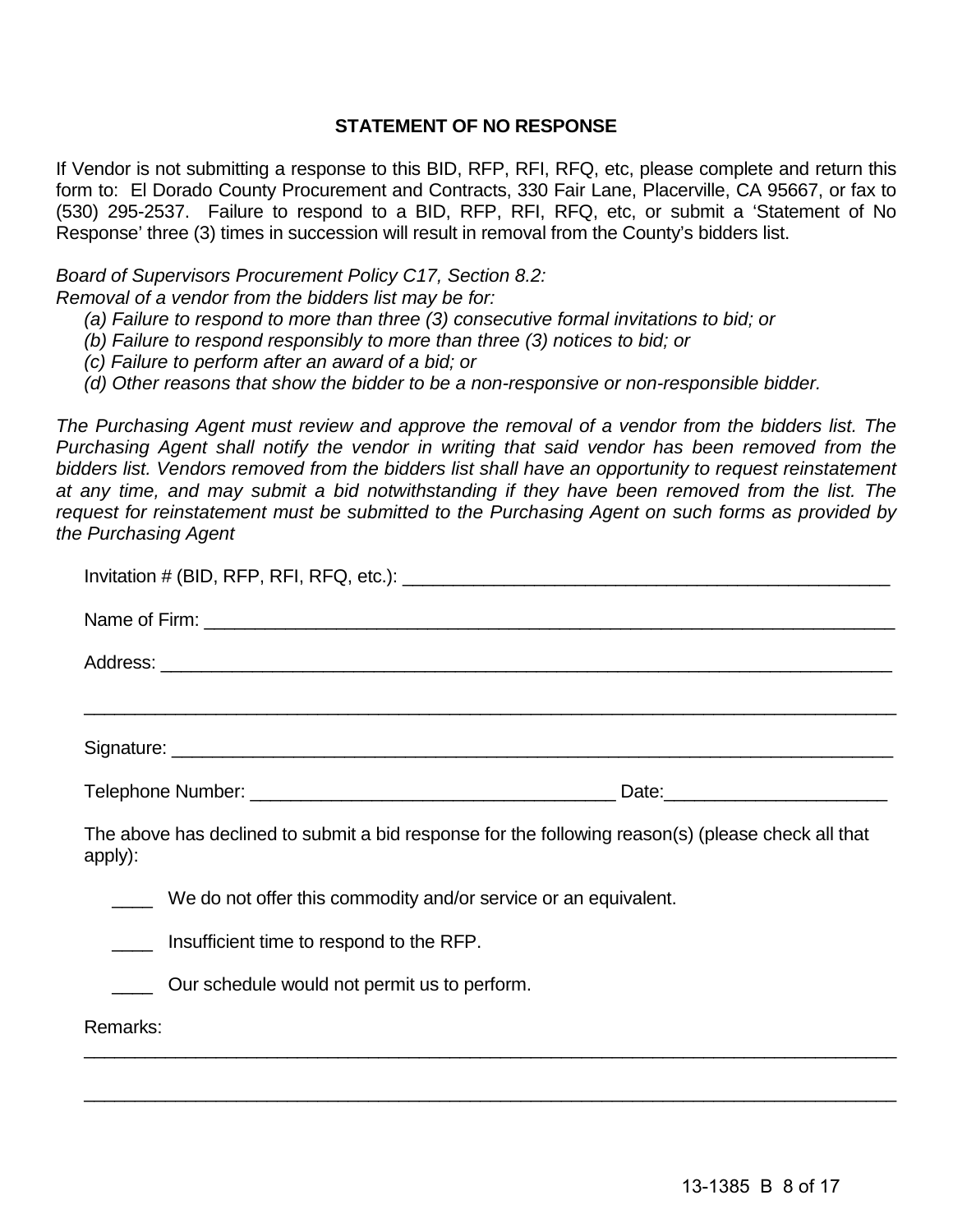# **STATEMENT OF NO RESPONSE**

If Vendor is not submitting a response to this BID, RFP, RFI, RFQ, etc, please complete and return this form to: El Dorado County Procurement and Contracts, 330 Fair Lane, Placerville, CA 95667, or fax to (530) 295-2537. Failure to respond to a BID, RFP, RFI, RFQ, etc, or submit a 'Statement of No Response' three (3) times in succession will result in removal from the County's bidders list.

# *Board of Supervisors Procurement Policy C17, Section 8.2:*

*Removal of a vendor from the bidders list may be for:*

- *(a) Failure to respond to more than three (3) consecutive formal invitations to bid; or*
- *(b) Failure to respond responsibly to more than three (3) notices to bid; or*
- *(c) Failure to perform after an award of a bid; or*
- *(d) Other reasons that show the bidder to be a non-responsive or non-responsible bidder.*

*The Purchasing Agent must review and approve the removal of a vendor from the bidders list. The Purchasing Agent shall notify the vendor in writing that said vendor has been removed from the bidders list. Vendors removed from the bidders list shall have an opportunity to request reinstatement at any time, and may submit a bid notwithstanding if they have been removed from the list. The request for reinstatement must be submitted to the Purchasing Agent on such forms as provided by the Purchasing Agent*

| The above has declined to submit a bid response for the following reason(s) (please check all that<br>apply): |  |
|---------------------------------------------------------------------------------------------------------------|--|
| We do not offer this commodity and/or service or an equivalent.                                               |  |
| Insufficient time to respond to the RFP.                                                                      |  |
| Our schedule would not permit us to perform.                                                                  |  |
| Remarks:                                                                                                      |  |
|                                                                                                               |  |

\_\_\_\_\_\_\_\_\_\_\_\_\_\_\_\_\_\_\_\_\_\_\_\_\_\_\_\_\_\_\_\_\_\_\_\_\_\_\_\_\_\_\_\_\_\_\_\_\_\_\_\_\_\_\_\_\_\_\_\_\_\_\_\_\_\_\_\_\_\_\_\_\_\_\_\_\_\_\_\_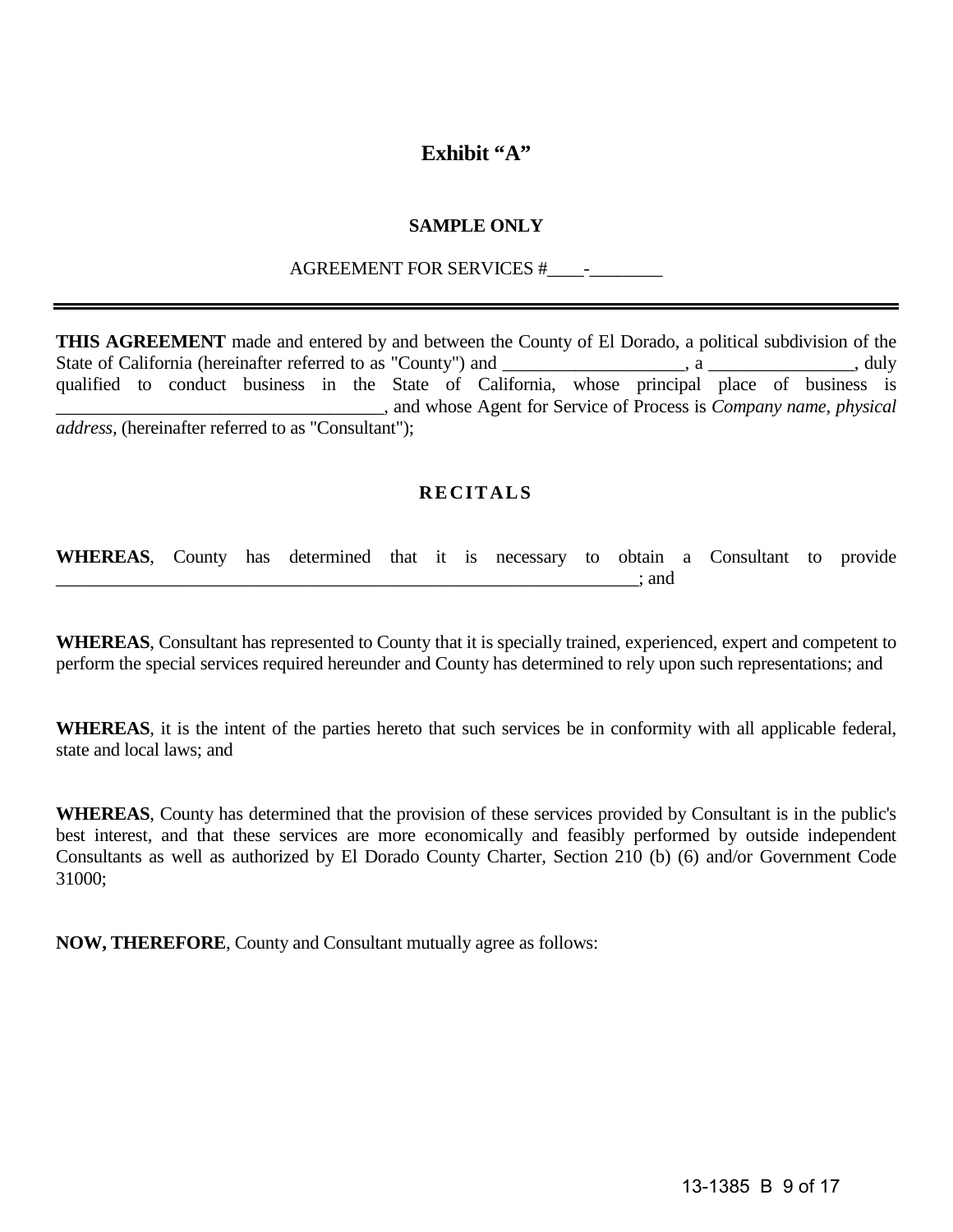# **Exhibit "A"**

# **SAMPLE ONLY**

# AGREEMENT FOR SERVICES #\_\_\_\_-\_\_\_\_\_\_\_\_

**THIS AGREEMENT** made and entered by and between the County of El Dorado, a political subdivision of the State of California (hereinafter referred to as "County") and \_\_\_\_\_\_\_\_\_\_\_\_\_\_\_\_\_, a \_\_\_\_\_\_\_\_\_\_\_\_\_\_, duly qualified to conduct business in the State of California, whose principal place of business is \_\_\_\_\_\_\_\_\_\_\_\_\_\_\_\_\_\_\_\_\_\_\_\_\_\_\_\_\_\_\_\_\_\_\_\_, and whose Agent for Service of Process is *Company name, physical address,* (hereinafter referred to as "Consultant");

# **RECITALS**

**WHEREAS**, County has determined that it is necessary to obtain a Consultant to provide \_\_\_\_\_\_\_\_\_\_\_\_\_\_\_\_\_\_\_\_\_\_\_\_\_\_\_\_\_\_\_\_\_\_\_\_\_\_\_\_\_\_\_\_\_\_\_\_\_\_\_\_\_\_\_\_\_\_\_\_\_\_\_\_; and

**WHEREAS**, Consultant has represented to County that it is specially trained, experienced, expert and competent to perform the special services required hereunder and County has determined to rely upon such representations; and

**WHEREAS**, it is the intent of the parties hereto that such services be in conformity with all applicable federal, state and local laws; and

**WHEREAS**, County has determined that the provision of these services provided by Consultant is in the public's best interest, and that these services are more economically and feasibly performed by outside independent Consultants as well as authorized by El Dorado County Charter, Section 210 (b) (6) and/or Government Code 31000;

**NOW, THEREFORE**, County and Consultant mutually agree as follows: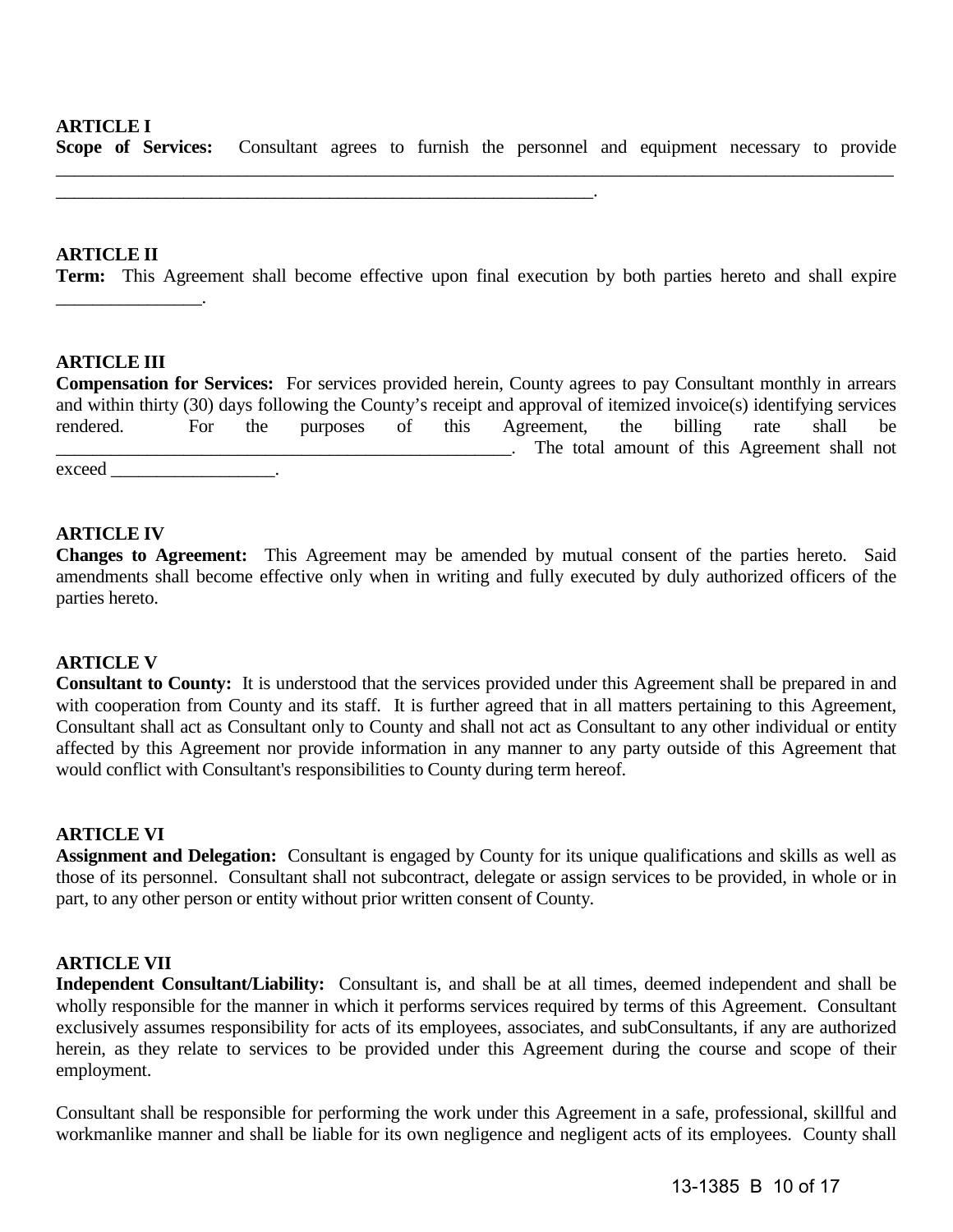#### **ARTICLE I**

**Scope of Services:** Consultant agrees to furnish the personnel and equipment necessary to provide

\_\_\_\_\_\_\_\_\_\_\_\_\_\_\_\_\_\_\_\_\_\_\_\_\_\_\_\_\_\_\_\_\_\_\_\_\_\_\_\_\_\_\_\_\_\_\_\_\_\_\_\_\_\_\_\_\_\_\_.

\_\_\_\_\_\_\_\_\_\_\_\_\_\_\_\_\_\_\_\_\_\_\_\_\_\_\_\_\_\_\_\_\_\_\_\_\_\_\_\_\_\_\_\_\_\_\_\_\_\_\_\_\_\_\_\_\_\_\_\_\_\_\_\_\_\_\_\_\_\_\_\_\_\_\_\_\_\_\_\_\_\_\_\_\_\_\_\_\_\_\_\_

#### **ARTICLE II**

**Term:** This Agreement shall become effective upon final execution by both parties hereto and shall expire

#### **ARTICLE III**

\_\_\_\_\_\_\_\_\_\_\_\_\_\_\_\_.

**Compensation for Services:** For services provided herein, County agrees to pay Consultant monthly in arrears and within thirty (30) days following the County's receipt and approval of itemized invoice(s) identifying services rendered. For the purposes of this Agreement, the billing rate shall be \_\_\_\_\_\_\_\_\_\_\_\_\_\_\_\_\_\_\_\_\_\_\_\_\_\_\_\_\_\_\_\_\_\_\_\_\_\_\_\_\_\_\_\_\_\_\_\_\_\_. The total amount of this Agreement shall not exceed the contract of the contract of the contract of the contract of the contract of the contract of the contract of the contract of the contract of the contract of the contract of the contract of the contract of the con

#### **ARTICLE IV**

**Changes to Agreement:** This Agreement may be amended by mutual consent of the parties hereto. Said amendments shall become effective only when in writing and fully executed by duly authorized officers of the parties hereto.

#### **ARTICLE V**

**Consultant to County:** It is understood that the services provided under this Agreement shall be prepared in and with cooperation from County and its staff. It is further agreed that in all matters pertaining to this Agreement, Consultant shall act as Consultant only to County and shall not act as Consultant to any other individual or entity affected by this Agreement nor provide information in any manner to any party outside of this Agreement that would conflict with Consultant's responsibilities to County during term hereof.

#### **ARTICLE VI**

**Assignment and Delegation:** Consultant is engaged by County for its unique qualifications and skills as well as those of its personnel. Consultant shall not subcontract, delegate or assign services to be provided, in whole or in part, to any other person or entity without prior written consent of County.

#### **ARTICLE VII**

**Independent Consultant/Liability:** Consultant is, and shall be at all times, deemed independent and shall be wholly responsible for the manner in which it performs services required by terms of this Agreement. Consultant exclusively assumes responsibility for acts of its employees, associates, and subConsultants, if any are authorized herein, as they relate to services to be provided under this Agreement during the course and scope of their employment.

Consultant shall be responsible for performing the work under this Agreement in a safe, professional, skillful and workmanlike manner and shall be liable for its own negligence and negligent acts of its employees. County shall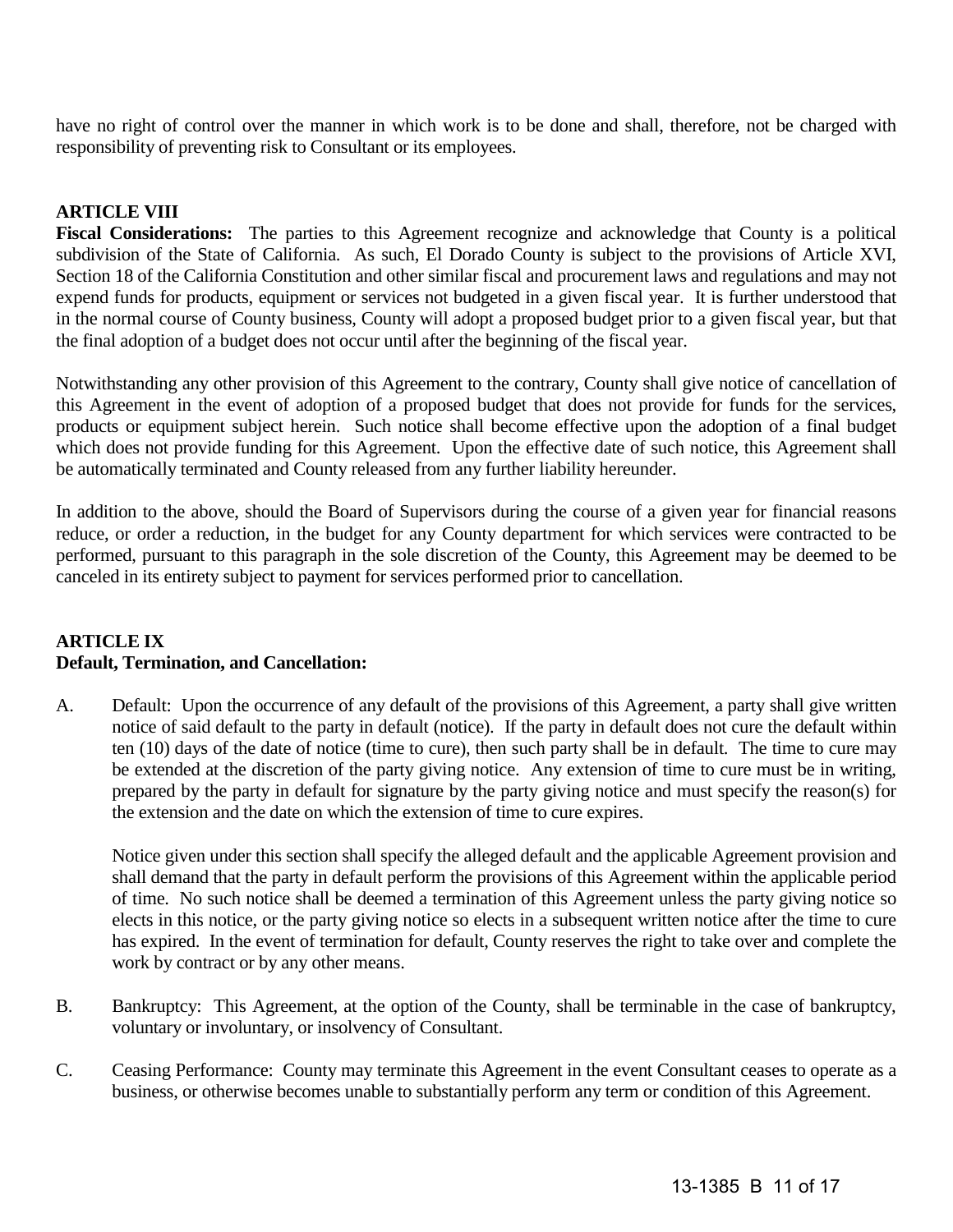have no right of control over the manner in which work is to be done and shall, therefore, not be charged with responsibility of preventing risk to Consultant or its employees.

# **ARTICLE VIII**

**Fiscal Considerations:** The parties to this Agreement recognize and acknowledge that County is a political subdivision of the State of California. As such, El Dorado County is subject to the provisions of Article XVI, Section 18 of the California Constitution and other similar fiscal and procurement laws and regulations and may not expend funds for products, equipment or services not budgeted in a given fiscal year. It is further understood that in the normal course of County business, County will adopt a proposed budget prior to a given fiscal year, but that the final adoption of a budget does not occur until after the beginning of the fiscal year.

Notwithstanding any other provision of this Agreement to the contrary, County shall give notice of cancellation of this Agreement in the event of adoption of a proposed budget that does not provide for funds for the services, products or equipment subject herein. Such notice shall become effective upon the adoption of a final budget which does not provide funding for this Agreement. Upon the effective date of such notice, this Agreement shall be automatically terminated and County released from any further liability hereunder.

In addition to the above, should the Board of Supervisors during the course of a given year for financial reasons reduce, or order a reduction, in the budget for any County department for which services were contracted to be performed, pursuant to this paragraph in the sole discretion of the County, this Agreement may be deemed to be canceled in its entirety subject to payment for services performed prior to cancellation.

#### **ARTICLE IX Default, Termination, and Cancellation:**

A. Default: Upon the occurrence of any default of the provisions of this Agreement, a party shall give written notice of said default to the party in default (notice). If the party in default does not cure the default within ten (10) days of the date of notice (time to cure), then such party shall be in default. The time to cure may be extended at the discretion of the party giving notice. Any extension of time to cure must be in writing, prepared by the party in default for signature by the party giving notice and must specify the reason(s) for the extension and the date on which the extension of time to cure expires.

Notice given under this section shall specify the alleged default and the applicable Agreement provision and shall demand that the party in default perform the provisions of this Agreement within the applicable period of time. No such notice shall be deemed a termination of this Agreement unless the party giving notice so elects in this notice, or the party giving notice so elects in a subsequent written notice after the time to cure has expired. In the event of termination for default, County reserves the right to take over and complete the work by contract or by any other means.

- B. Bankruptcy: This Agreement, at the option of the County, shall be terminable in the case of bankruptcy, voluntary or involuntary, or insolvency of Consultant.
- C. Ceasing Performance: County may terminate this Agreement in the event Consultant ceases to operate as a business, or otherwise becomes unable to substantially perform any term or condition of this Agreement.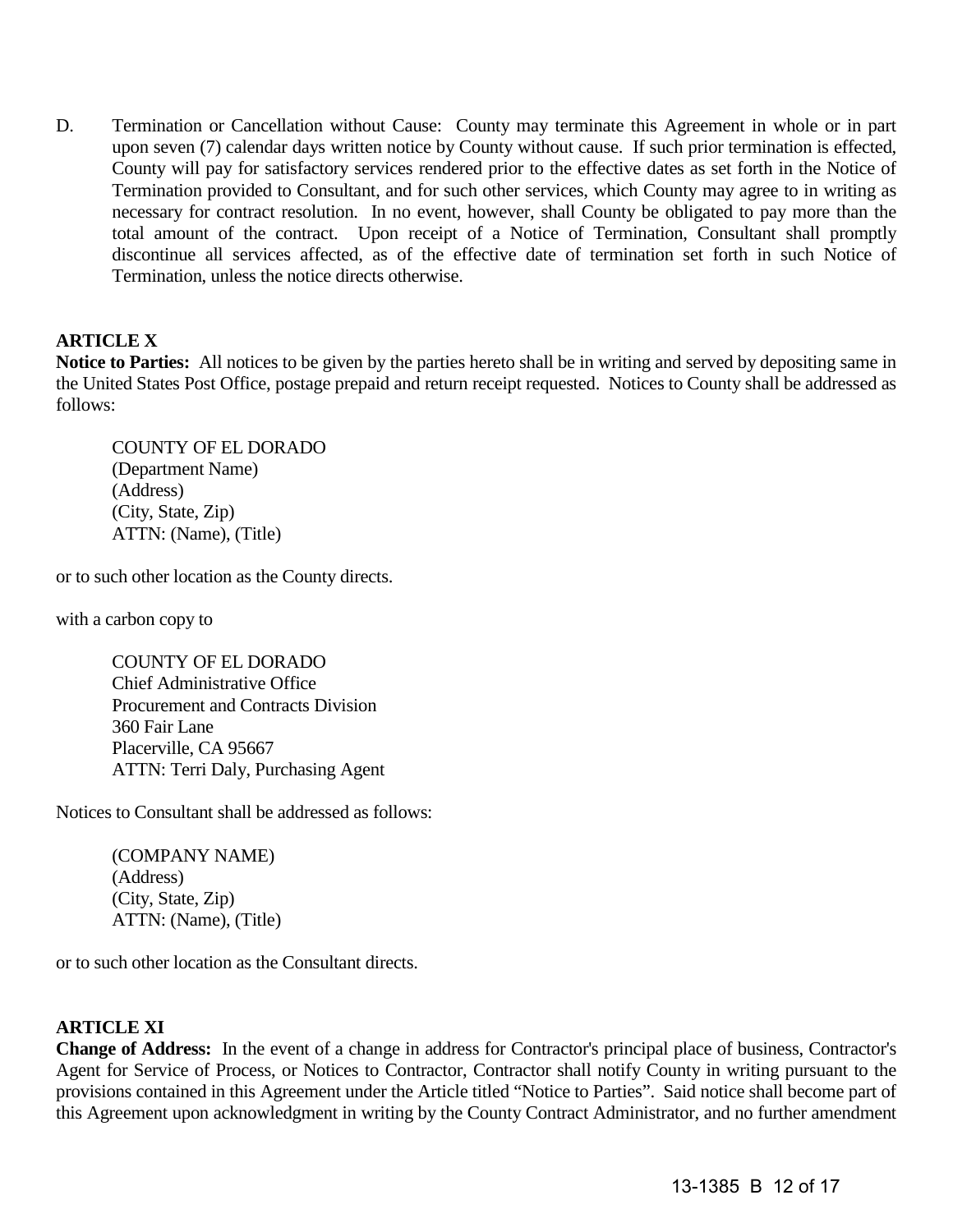D. Termination or Cancellation without Cause: County may terminate this Agreement in whole or in part upon seven (7) calendar days written notice by County without cause. If such prior termination is effected, County will pay for satisfactory services rendered prior to the effective dates as set forth in the Notice of Termination provided to Consultant, and for such other services, which County may agree to in writing as necessary for contract resolution. In no event, however, shall County be obligated to pay more than the total amount of the contract. Upon receipt of a Notice of Termination, Consultant shall promptly discontinue all services affected, as of the effective date of termination set forth in such Notice of Termination, unless the notice directs otherwise.

# **ARTICLE X**

**Notice to Parties:** All notices to be given by the parties hereto shall be in writing and served by depositing same in the United States Post Office, postage prepaid and return receipt requested. Notices to County shall be addressed as follows:

COUNTY OF EL DORADO (Department Name) (Address) (City, State, Zip) ATTN: (Name), (Title)

or to such other location as the County directs.

with a carbon copy to

COUNTY OF EL DORADO Chief Administrative Office Procurement and Contracts Division 360 Fair Lane Placerville, CA 95667 ATTN: Terri Daly, Purchasing Agent

Notices to Consultant shall be addressed as follows:

(COMPANY NAME) (Address) (City, State, Zip) ATTN: (Name), (Title)

or to such other location as the Consultant directs.

# **ARTICLE XI**

**Change of Address:** In the event of a change in address for Contractor's principal place of business, Contractor's Agent for Service of Process, or Notices to Contractor, Contractor shall notify County in writing pursuant to the provisions contained in this Agreement under the Article titled "Notice to Parties". Said notice shall become part of this Agreement upon acknowledgment in writing by the County Contract Administrator, and no further amendment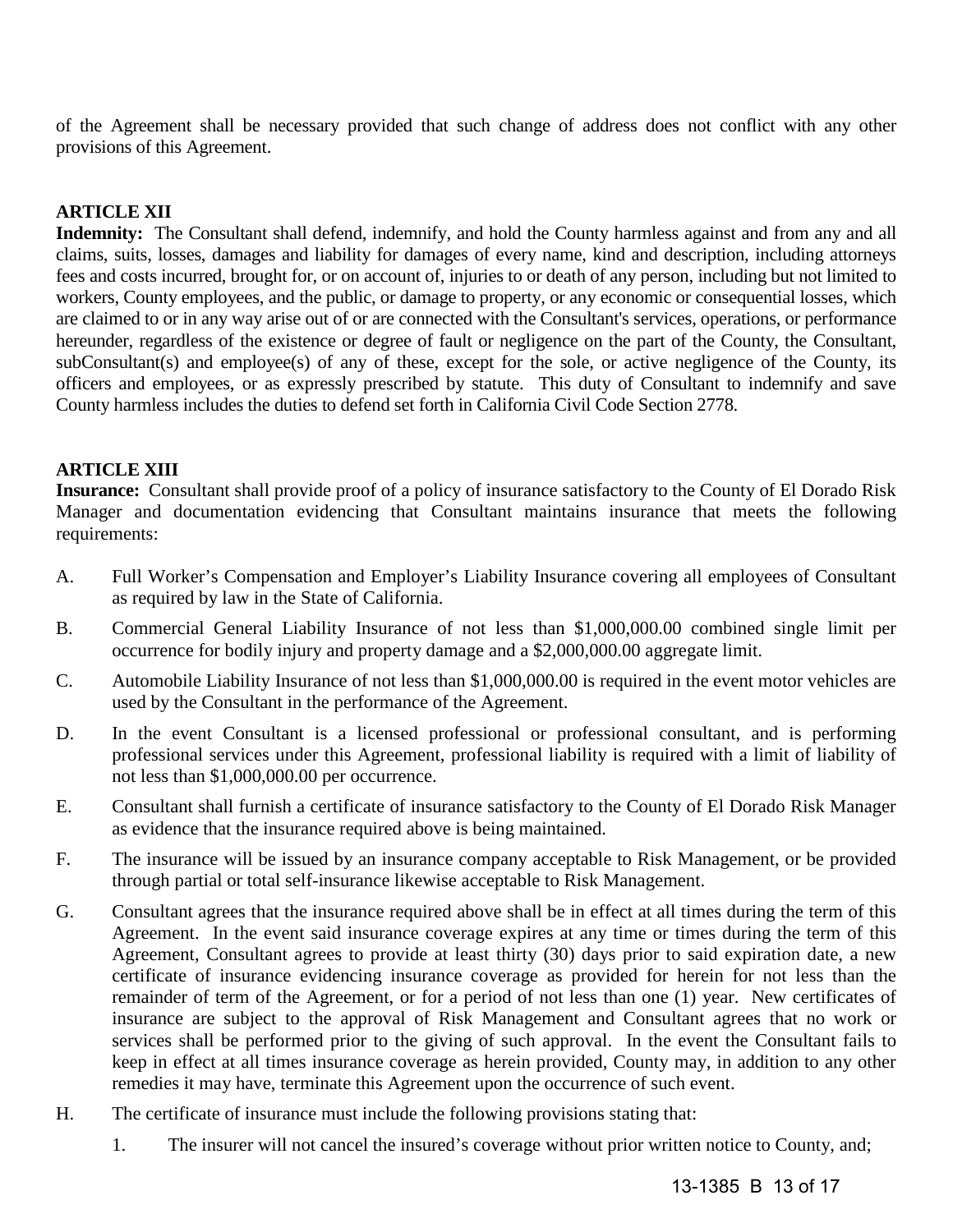of the Agreement shall be necessary provided that such change of address does not conflict with any other provisions of this Agreement.

# **ARTICLE XII**

**Indemnity:** The Consultant shall defend, indemnify, and hold the County harmless against and from any and all claims, suits, losses, damages and liability for damages of every name, kind and description, including attorneys fees and costs incurred, brought for, or on account of, injuries to or death of any person, including but not limited to workers, County employees, and the public, or damage to property, or any economic or consequential losses, which are claimed to or in any way arise out of or are connected with the Consultant's services, operations, or performance hereunder, regardless of the existence or degree of fault or negligence on the part of the County, the Consultant, subConsultant(s) and employee(s) of any of these, except for the sole, or active negligence of the County, its officers and employees, or as expressly prescribed by statute. This duty of Consultant to indemnify and save County harmless includes the duties to defend set forth in California Civil Code Section 2778.

# **ARTICLE XIII**

**Insurance:** Consultant shall provide proof of a policy of insurance satisfactory to the County of El Dorado Risk Manager and documentation evidencing that Consultant maintains insurance that meets the following requirements:

- A. Full Worker's Compensation and Employer's Liability Insurance covering all employees of Consultant as required by law in the State of California.
- B. Commercial General Liability Insurance of not less than \$1,000,000.00 combined single limit per occurrence for bodily injury and property damage and a \$2,000,000.00 aggregate limit.
- C. Automobile Liability Insurance of not less than \$1,000,000.00 is required in the event motor vehicles are used by the Consultant in the performance of the Agreement.
- D. In the event Consultant is a licensed professional or professional consultant, and is performing professional services under this Agreement, professional liability is required with a limit of liability of not less than \$1,000,000.00 per occurrence.
- E. Consultant shall furnish a certificate of insurance satisfactory to the County of El Dorado Risk Manager as evidence that the insurance required above is being maintained.
- F. The insurance will be issued by an insurance company acceptable to Risk Management, or be provided through partial or total self-insurance likewise acceptable to Risk Management.
- G. Consultant agrees that the insurance required above shall be in effect at all times during the term of this Agreement. In the event said insurance coverage expires at any time or times during the term of this Agreement, Consultant agrees to provide at least thirty (30) days prior to said expiration date, a new certificate of insurance evidencing insurance coverage as provided for herein for not less than the remainder of term of the Agreement, or for a period of not less than one (1) year. New certificates of insurance are subject to the approval of Risk Management and Consultant agrees that no work or services shall be performed prior to the giving of such approval. In the event the Consultant fails to keep in effect at all times insurance coverage as herein provided, County may, in addition to any other remedies it may have, terminate this Agreement upon the occurrence of such event.
- H. The certificate of insurance must include the following provisions stating that:
	- 1. The insurer will not cancel the insured's coverage without prior written notice to County, and;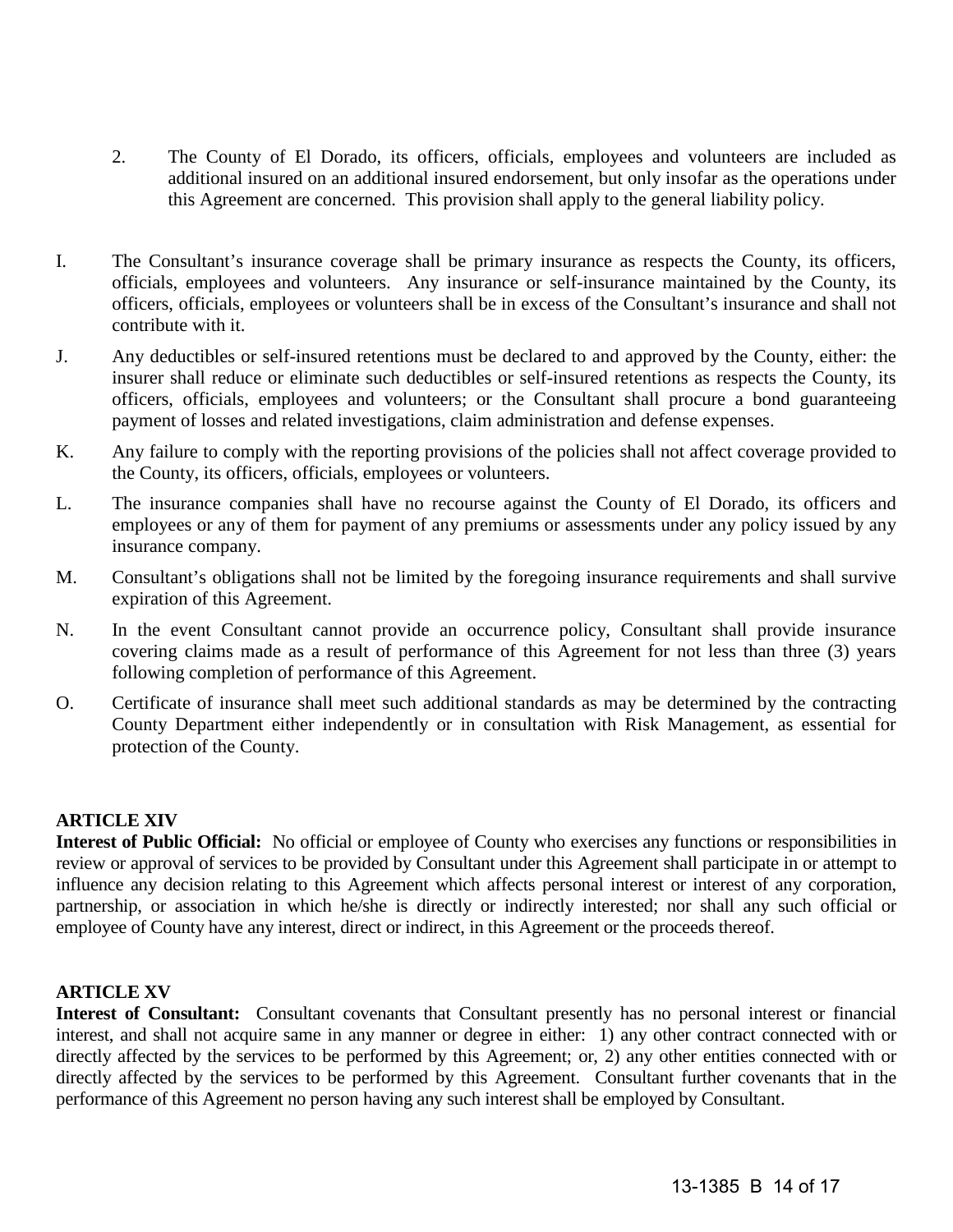- 2. The County of El Dorado, its officers, officials, employees and volunteers are included as additional insured on an additional insured endorsement, but only insofar as the operations under this Agreement are concerned. This provision shall apply to the general liability policy.
- I. The Consultant's insurance coverage shall be primary insurance as respects the County, its officers, officials, employees and volunteers. Any insurance or self-insurance maintained by the County, its officers, officials, employees or volunteers shall be in excess of the Consultant's insurance and shall not contribute with it.
- J. Any deductibles or self-insured retentions must be declared to and approved by the County, either: the insurer shall reduce or eliminate such deductibles or self-insured retentions as respects the County, its officers, officials, employees and volunteers; or the Consultant shall procure a bond guaranteeing payment of losses and related investigations, claim administration and defense expenses.
- K. Any failure to comply with the reporting provisions of the policies shall not affect coverage provided to the County, its officers, officials, employees or volunteers.
- L. The insurance companies shall have no recourse against the County of El Dorado, its officers and employees or any of them for payment of any premiums or assessments under any policy issued by any insurance company.
- M. Consultant's obligations shall not be limited by the foregoing insurance requirements and shall survive expiration of this Agreement.
- N. In the event Consultant cannot provide an occurrence policy, Consultant shall provide insurance covering claims made as a result of performance of this Agreement for not less than three (3) years following completion of performance of this Agreement.
- O. Certificate of insurance shall meet such additional standards as may be determined by the contracting County Department either independently or in consultation with Risk Management, as essential for protection of the County.

# **ARTICLE XIV**

**Interest of Public Official:** No official or employee of County who exercises any functions or responsibilities in review or approval of services to be provided by Consultant under this Agreement shall participate in or attempt to influence any decision relating to this Agreement which affects personal interest or interest of any corporation, partnership, or association in which he/she is directly or indirectly interested; nor shall any such official or employee of County have any interest, direct or indirect, in this Agreement or the proceeds thereof.

# **ARTICLE XV**

**Interest of Consultant:** Consultant covenants that Consultant presently has no personal interest or financial interest, and shall not acquire same in any manner or degree in either: 1) any other contract connected with or directly affected by the services to be performed by this Agreement; or, 2) any other entities connected with or directly affected by the services to be performed by this Agreement. Consultant further covenants that in the performance of this Agreement no person having any such interest shall be employed by Consultant.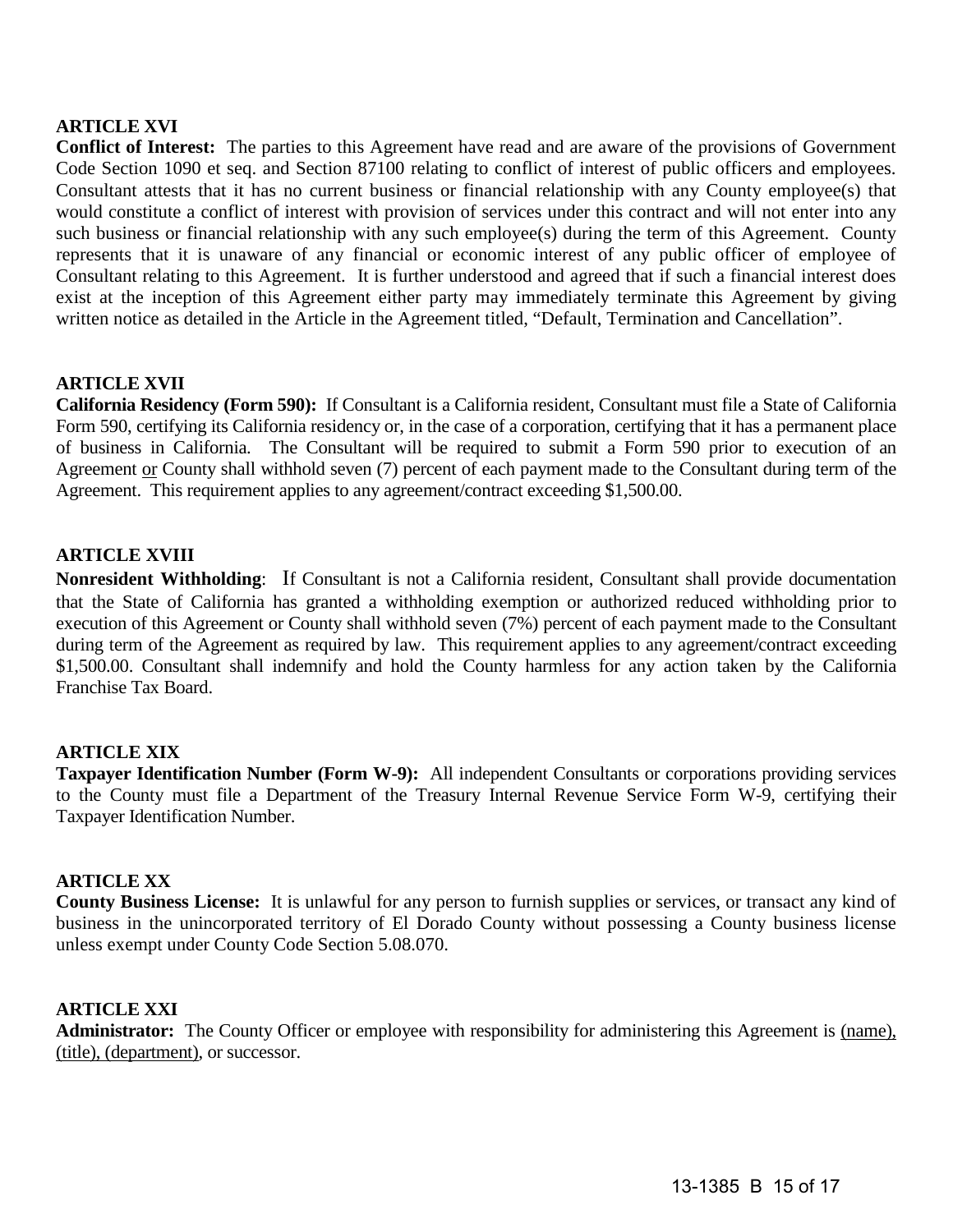# **ARTICLE XVI**

**Conflict of Interest:** The parties to this Agreement have read and are aware of the provisions of Government Code Section 1090 et seq. and Section 87100 relating to conflict of interest of public officers and employees. Consultant attests that it has no current business or financial relationship with any County employee(s) that would constitute a conflict of interest with provision of services under this contract and will not enter into any such business or financial relationship with any such employee(s) during the term of this Agreement. County represents that it is unaware of any financial or economic interest of any public officer of employee of Consultant relating to this Agreement. It is further understood and agreed that if such a financial interest does exist at the inception of this Agreement either party may immediately terminate this Agreement by giving written notice as detailed in the Article in the Agreement titled, "Default, Termination and Cancellation".

## **ARTICLE XVII**

**California Residency (Form 590):** If Consultant is a California resident, Consultant must file a State of California Form 590, certifying its California residency or, in the case of a corporation, certifying that it has a permanent place of business in California. The Consultant will be required to submit a Form 590 prior to execution of an Agreement <u>or</u> County shall withhold seven (7) percent of each payment made to the Consultant during term of the Agreement. This requirement applies to any agreement/contract exceeding \$1,500.00.

## **ARTICLE XVIII**

**Nonresident Withholding**: If Consultant is not a California resident, Consultant shall provide documentation that the State of California has granted a withholding exemption or authorized reduced withholding prior to execution of this Agreement or County shall withhold seven (7%) percent of each payment made to the Consultant during term of the Agreement as required by law. This requirement applies to any agreement/contract exceeding \$1,500.00. Consultant shall indemnify and hold the County harmless for any action taken by the California Franchise Tax Board.

## **ARTICLE XIX**

**Taxpayer Identification Number (Form W-9):** All independent Consultants or corporations providing services to the County must file a Department of the Treasury Internal Revenue Service Form W-9, certifying their Taxpayer Identification Number.

## **ARTICLE XX**

**County Business License:** It is unlawful for any person to furnish supplies or services, or transact any kind of business in the unincorporated territory of El Dorado County without possessing a County business license unless exempt under County Code Section 5.08.070.

## **ARTICLE XXI**

Administrator: The County Officer or employee with responsibility for administering this Agreement is (name), (title), (department), or successor.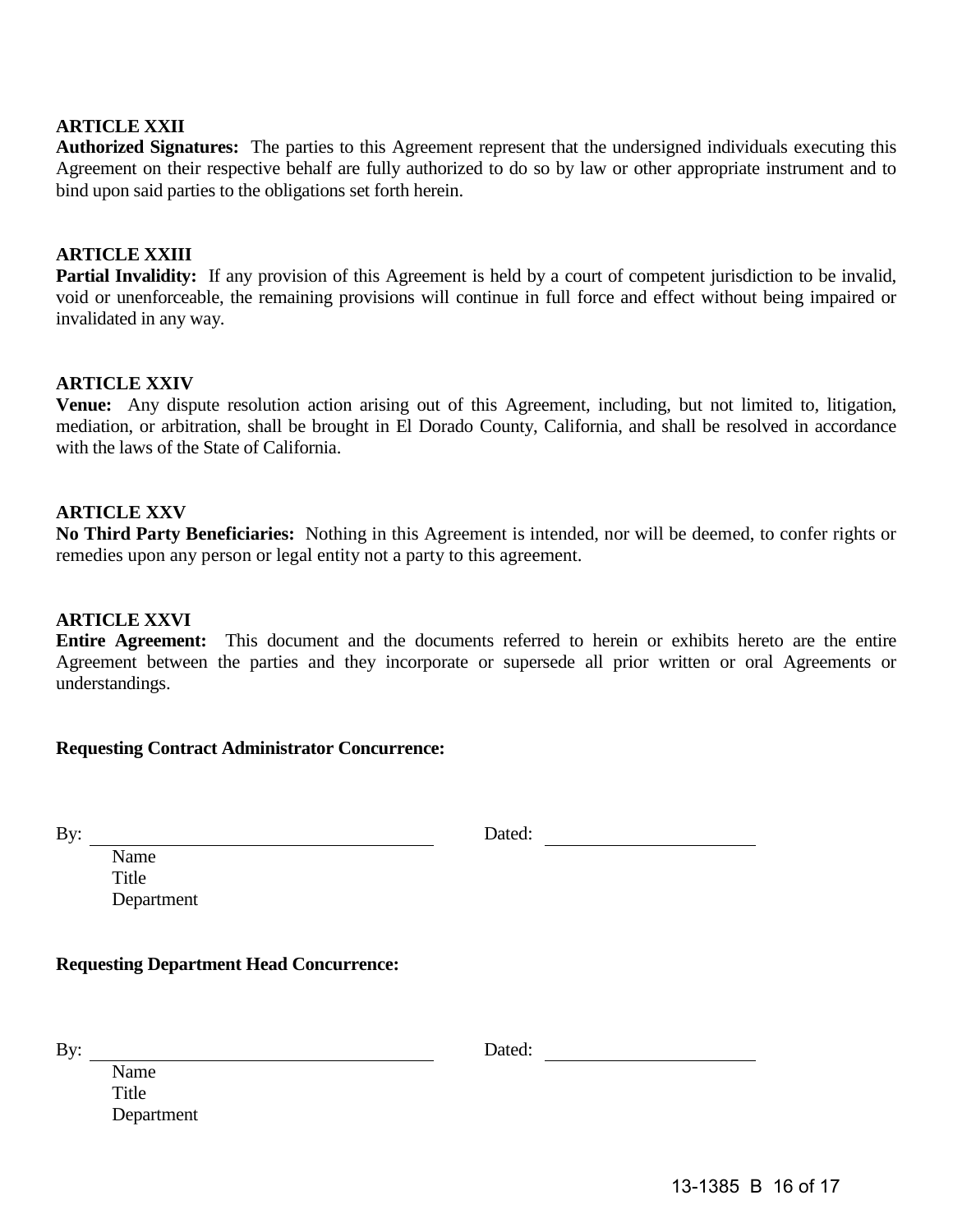# **ARTICLE XXII**

**Authorized Signatures:** The parties to this Agreement represent that the undersigned individuals executing this Agreement on their respective behalf are fully authorized to do so by law or other appropriate instrument and to bind upon said parties to the obligations set forth herein.

## **ARTICLE XXIII**

**Partial Invalidity:** If any provision of this Agreement is held by a court of competent jurisdiction to be invalid, void or unenforceable, the remaining provisions will continue in full force and effect without being impaired or invalidated in any way.

## **ARTICLE XXIV**

**Venue:** Any dispute resolution action arising out of this Agreement, including, but not limited to, litigation, mediation, or arbitration, shall be brought in El Dorado County, California, and shall be resolved in accordance with the laws of the State of California.

## **ARTICLE XXV**

**No Third Party Beneficiaries:** Nothing in this Agreement is intended, nor will be deemed, to confer rights or remedies upon any person or legal entity not a party to this agreement.

#### **ARTICLE XXVI**

**Entire Agreement:** This document and the documents referred to herein or exhibits hereto are the entire Agreement between the parties and they incorporate or supersede all prior written or oral Agreements or understandings.

## **Requesting Contract Administrator Concurrence:**

By: Dated:

Name Title Department

## **Requesting Department Head Concurrence:**

By: Dated:

Name **Title** Department

13-1385 B 16 of 17